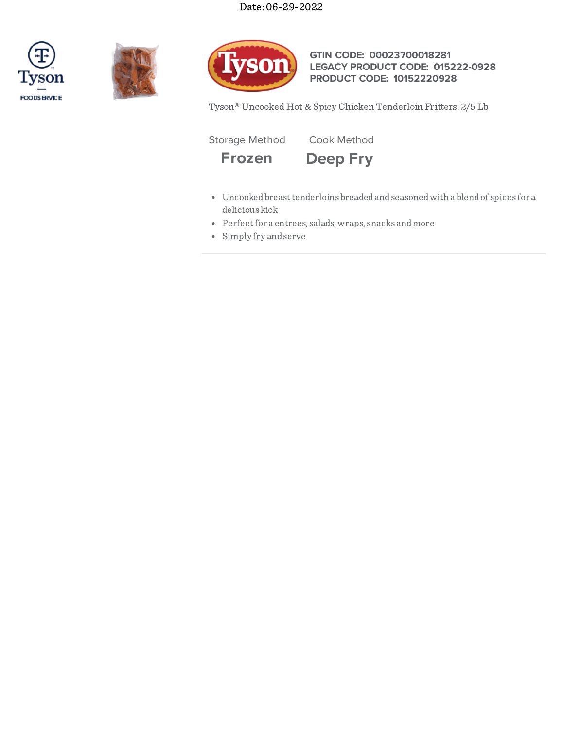





**GTIN CODE: 00023700018281 LEGACY PRODUCT CODE: 015222-0928 PRODUCT CODE: 10152220928**

Tyson® Uncooked Hot & Spicy Chicken Tenderloin Fritters, 2/5 Lb

Storage Method Cook Method



- Uncookedbreasttenderloins breadedandseasonedwith a blendof spices for a delicious kick
- Perfect for a entrees, salads, wraps, snacks and more
- Simply fry andserve